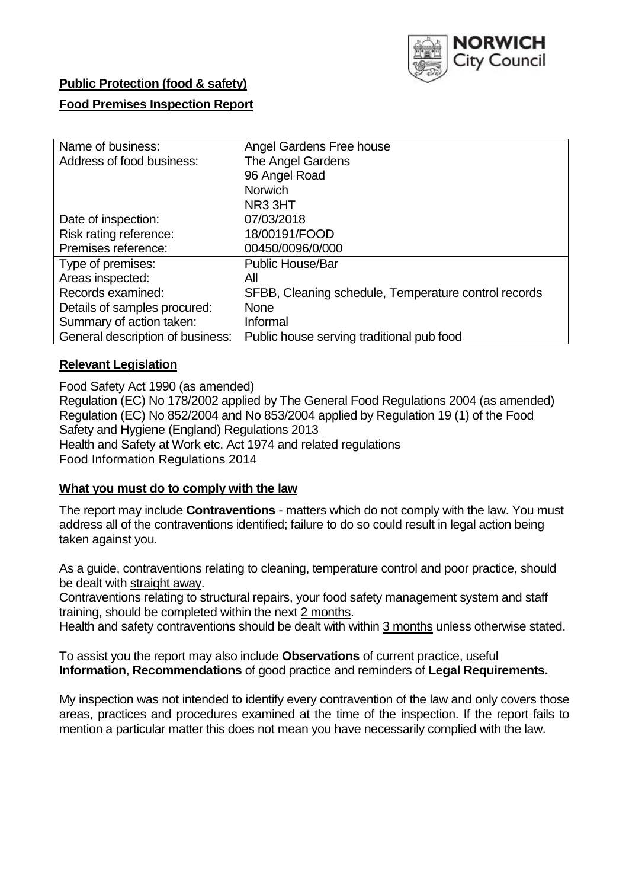

# **Public Protection (food & safety)**

## **Food Premises Inspection Report**

| Name of business:                | Angel Gardens Free house                             |
|----------------------------------|------------------------------------------------------|
| Address of food business:        | The Angel Gardens                                    |
|                                  | 96 Angel Road                                        |
|                                  | <b>Norwich</b>                                       |
|                                  | NR <sub>3</sub> 3HT                                  |
| Date of inspection:              | 07/03/2018                                           |
| Risk rating reference:           | 18/00191/FOOD                                        |
| Premises reference:              | 00450/0096/0/000                                     |
| Type of premises:                | <b>Public House/Bar</b>                              |
| Areas inspected:                 | All                                                  |
| Records examined:                | SFBB, Cleaning schedule, Temperature control records |
| Details of samples procured:     | <b>None</b>                                          |
| Summary of action taken:         | Informal                                             |
| General description of business: | Public house serving traditional pub food            |

### **Relevant Legislation**

Food Safety Act 1990 (as amended) Regulation (EC) No 178/2002 applied by The General Food Regulations 2004 (as amended) Regulation (EC) No 852/2004 and No 853/2004 applied by Regulation 19 (1) of the Food Safety and Hygiene (England) Regulations 2013 Health and Safety at Work etc. Act 1974 and related regulations Food Information Regulations 2014

### **What you must do to comply with the law**

The report may include **Contraventions** - matters which do not comply with the law. You must address all of the contraventions identified; failure to do so could result in legal action being taken against you.

As a guide, contraventions relating to cleaning, temperature control and poor practice, should be dealt with straight away.

Contraventions relating to structural repairs, your food safety management system and staff training, should be completed within the next 2 months.

Health and safety contraventions should be dealt with within 3 months unless otherwise stated.

To assist you the report may also include **Observations** of current practice, useful **Information**, **Recommendations** of good practice and reminders of **Legal Requirements.**

My inspection was not intended to identify every contravention of the law and only covers those areas, practices and procedures examined at the time of the inspection. If the report fails to mention a particular matter this does not mean you have necessarily complied with the law.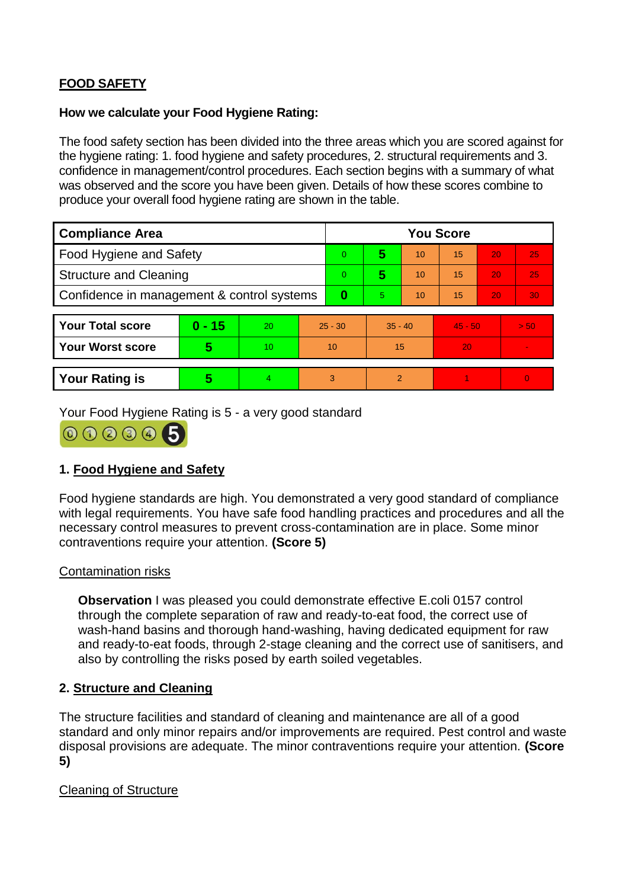# **FOOD SAFETY**

### **How we calculate your Food Hygiene Rating:**

The food safety section has been divided into the three areas which you are scored against for the hygiene rating: 1. food hygiene and safety procedures, 2. structural requirements and 3. confidence in management/control procedures. Each section begins with a summary of what was observed and the score you have been given. Details of how these scores combine to produce your overall food hygiene rating are shown in the table.

| <b>Compliance Area</b>                     |                         |                  |           | <b>You Score</b> |                |    |           |    |                |  |  |
|--------------------------------------------|-------------------------|------------------|-----------|------------------|----------------|----|-----------|----|----------------|--|--|
| Food Hygiene and Safety                    |                         |                  |           | $\Omega$         | 5              | 10 | 15        | 20 | 25             |  |  |
| <b>Structure and Cleaning</b>              |                         |                  | $\Omega$  | 5                | 10             | 15 | 20        | 25 |                |  |  |
| Confidence in management & control systems |                         |                  | $\bf{0}$  | 5.               | 10             | 15 | 20        | 30 |                |  |  |
|                                            |                         |                  |           |                  |                |    |           |    |                |  |  |
| <b>Your Total score</b>                    | $0 - 15$                | 20               | $25 - 30$ |                  | $35 - 40$      |    | $45 - 50$ |    | > 50           |  |  |
| <b>Your Worst score</b>                    | $\overline{\mathbf{5}}$ | 10 <sup>10</sup> | 10        |                  | 15             |    | 20        |    | $\blacksquare$ |  |  |
|                                            |                         |                  |           |                  |                |    |           |    |                |  |  |
| <b>Your Rating is</b>                      | 5                       | 4                | 3         |                  | $\overline{2}$ |    |           |    | $\overline{0}$ |  |  |

Your Food Hygiene Rating is 5 - a very good standard



# **1. Food Hygiene and Safety**

Food hygiene standards are high. You demonstrated a very good standard of compliance with legal requirements. You have safe food handling practices and procedures and all the necessary control measures to prevent cross-contamination are in place. Some minor contraventions require your attention. **(Score 5)**

## Contamination risks

**Observation** I was pleased you could demonstrate effective E.coli 0157 control through the complete separation of raw and ready-to-eat food, the correct use of wash-hand basins and thorough hand-washing, having dedicated equipment for raw and ready-to-eat foods, through 2-stage cleaning and the correct use of sanitisers, and also by controlling the risks posed by earth soiled vegetables.

## **2. Structure and Cleaning**

The structure facilities and standard of cleaning and maintenance are all of a good standard and only minor repairs and/or improvements are required. Pest control and waste disposal provisions are adequate. The minor contraventions require your attention. **(Score 5)**

## Cleaning of Structure